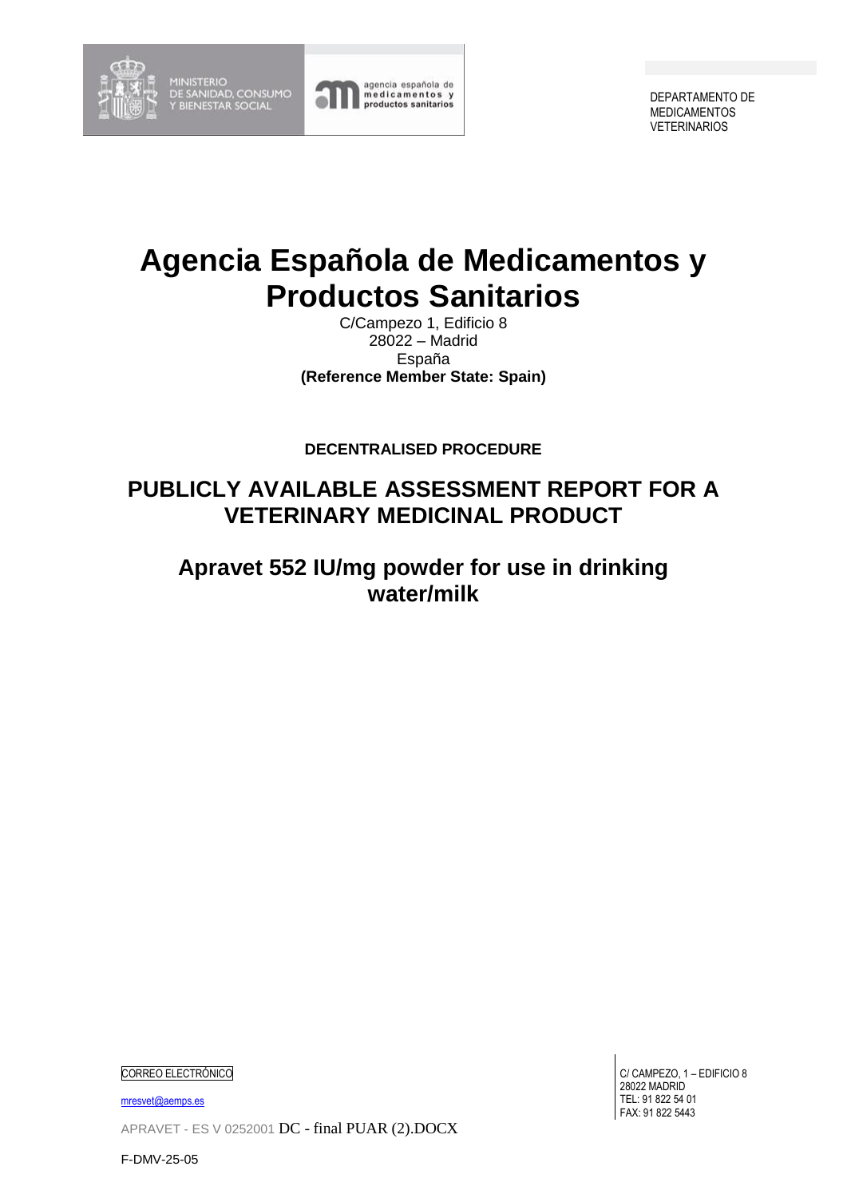

MINISTERIO<br>DE SANIDAD, CONSUMO<br>Y BIENESTAR SOCIAL



DEPARTAMENTO DE MEDICAMENTOS VETERINARIOS

# **Agencia Española de Medicamentos y Productos Sanitarios**

C/Campezo 1, Edificio 8 28022 – Madrid España **(Reference Member State: Spain)**

**DECENTRALISED PROCEDURE**

## **PUBLICLY AVAILABLE ASSESSMENT REPORT FOR A VETERINARY MEDICINAL PRODUCT**

**Apravet 552 IU/mg powder for use in drinking water/milk**

CORREO ELECTRÓNICO

[mresvet@aemps.es](mailto:mresvet@aemps.es)

APRAVET - ES V 0252001 DC - final PUAR (2).DOCX

C/ CAMPEZO, 1 – EDIFICIO 8 28022 MADRID TEL: 91 822 54 01 FAX: 91 822 5443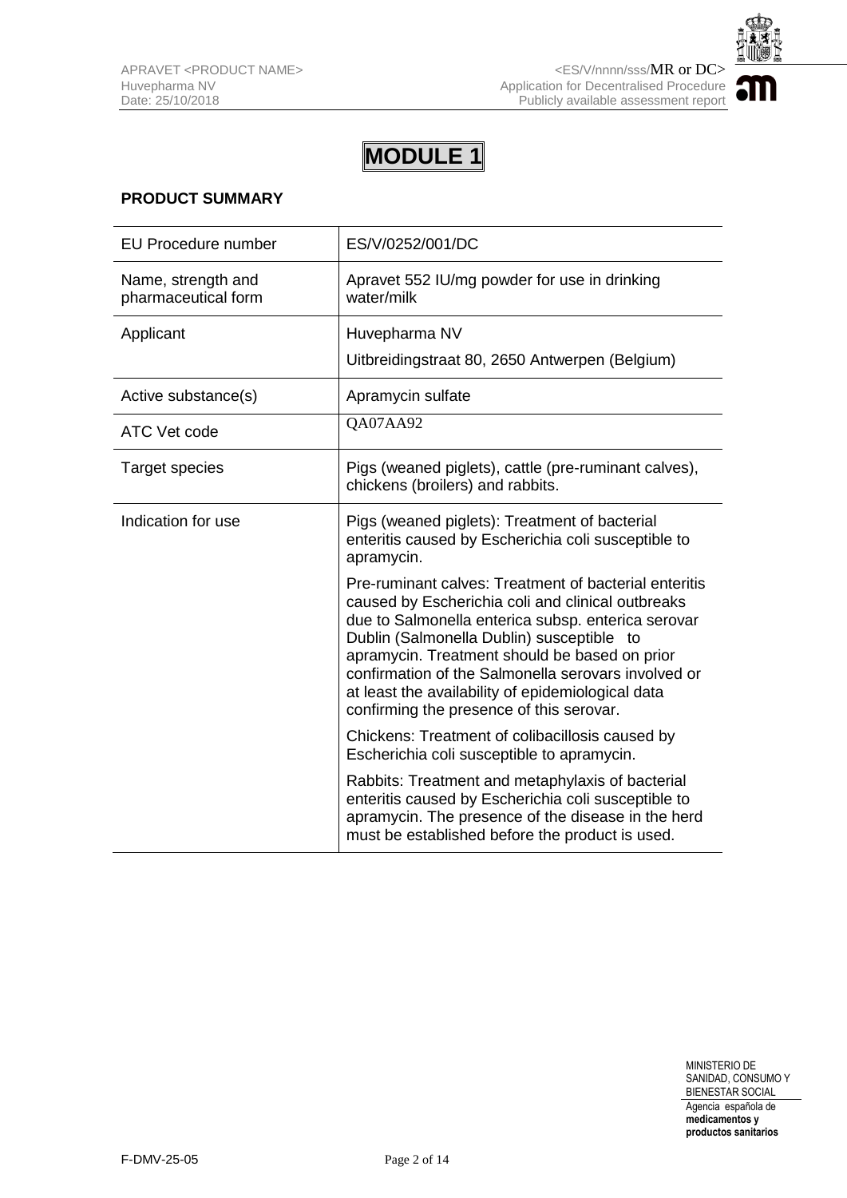

### **PRODUCT SUMMARY**

| <b>EU Procedure number</b>                | ES/V/0252/001/DC                                                                                                                                                                                                                                                                                                                                                                                                       |  |
|-------------------------------------------|------------------------------------------------------------------------------------------------------------------------------------------------------------------------------------------------------------------------------------------------------------------------------------------------------------------------------------------------------------------------------------------------------------------------|--|
| Name, strength and<br>pharmaceutical form | Apravet 552 IU/mg powder for use in drinking<br>water/milk                                                                                                                                                                                                                                                                                                                                                             |  |
| Applicant                                 | Huvepharma NV                                                                                                                                                                                                                                                                                                                                                                                                          |  |
|                                           | Uitbreidingstraat 80, 2650 Antwerpen (Belgium)                                                                                                                                                                                                                                                                                                                                                                         |  |
| Active substance(s)                       | Apramycin sulfate                                                                                                                                                                                                                                                                                                                                                                                                      |  |
| ATC Vet code                              | QA07AA92                                                                                                                                                                                                                                                                                                                                                                                                               |  |
| <b>Target species</b>                     | Pigs (weaned piglets), cattle (pre-ruminant calves),<br>chickens (broilers) and rabbits.                                                                                                                                                                                                                                                                                                                               |  |
| Indication for use                        | Pigs (weaned piglets): Treatment of bacterial<br>enteritis caused by Escherichia coli susceptible to<br>apramycin.                                                                                                                                                                                                                                                                                                     |  |
|                                           | Pre-ruminant calves: Treatment of bacterial enteritis<br>caused by Escherichia coli and clinical outbreaks<br>due to Salmonella enterica subsp. enterica serovar<br>Dublin (Salmonella Dublin) susceptible to<br>apramycin. Treatment should be based on prior<br>confirmation of the Salmonella serovars involved or<br>at least the availability of epidemiological data<br>confirming the presence of this serovar. |  |
|                                           | Chickens: Treatment of colibacillosis caused by<br>Escherichia coli susceptible to apramycin.                                                                                                                                                                                                                                                                                                                          |  |
|                                           | Rabbits: Treatment and metaphylaxis of bacterial<br>enteritis caused by Escherichia coli susceptible to<br>apramycin. The presence of the disease in the herd<br>must be established before the product is used.                                                                                                                                                                                                       |  |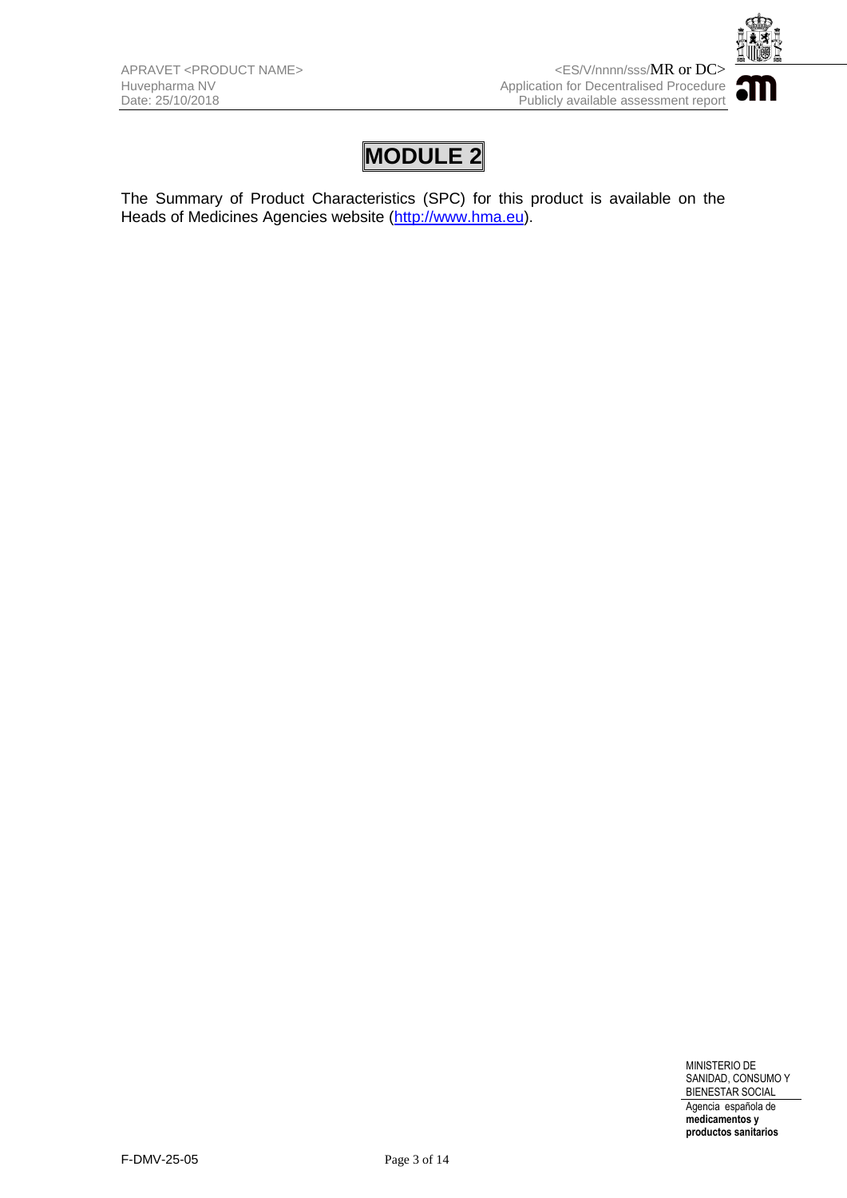

The Summary of Product Characteristics (SPC) for this product is available on the Heads of Medicines Agencies website [\(http://www.hma.eu\)](http://www.hma.eu/).

> MINISTERIO DE SANIDAD, CONSUMO Y BIENESTAR SOCIAL Agencia española de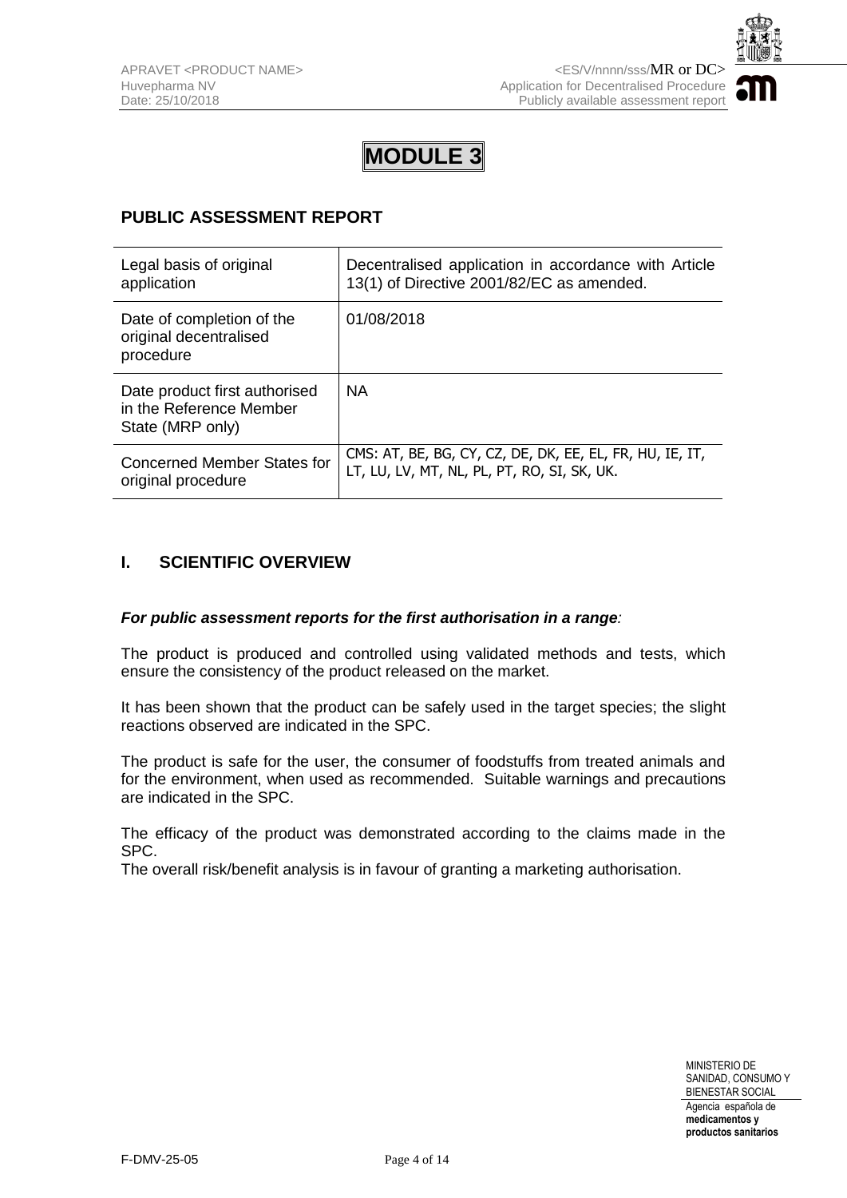

## **PUBLIC ASSESSMENT REPORT**

| Legal basis of original                                                      | Decentralised application in accordance with Article     |
|------------------------------------------------------------------------------|----------------------------------------------------------|
| application                                                                  | 13(1) of Directive 2001/82/EC as amended.                |
| Date of completion of the<br>original decentralised<br>procedure             | 01/08/2018                                               |
| Date product first authorised<br>in the Reference Member<br>State (MRP only) | <b>NA</b>                                                |
| Concerned Member States for                                                  | CMS: AT, BE, BG, CY, CZ, DE, DK, EE, EL, FR, HU, IE, IT, |
| original procedure                                                           | LT, LU, LV, MT, NL, PL, PT, RO, SI, SK, UK.              |

### **I. SCIENTIFIC OVERVIEW**

#### *For public assessment reports for the first authorisation in a range:*

The product is produced and controlled using validated methods and tests, which ensure the consistency of the product released on the market.

It has been shown that the product can be safely used in the target species; the slight reactions observed are indicated in the SPC.

The product is safe for the user, the consumer of foodstuffs from treated animals and for the environment, when used as recommended. Suitable warnings and precautions are indicated in the SPC.

The efficacy of the product was demonstrated according to the claims made in the SPC.

The overall risk/benefit analysis is in favour of granting a marketing authorisation.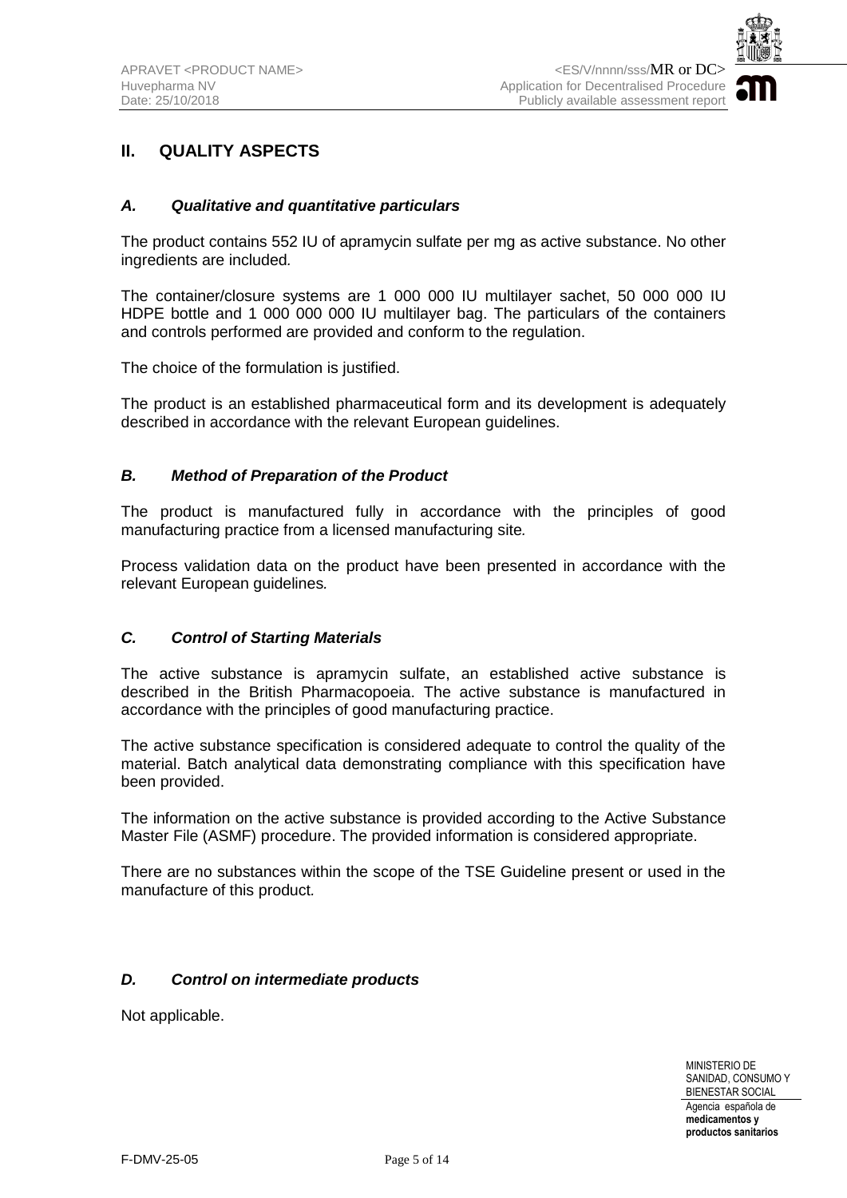

## **II. QUALITY ASPECTS**

#### *A. Qualitative and quantitative particulars*

The product contains 552 IU of apramycin sulfate per mg as active substance. No other ingredients are included*.* 

The container/closure systems are 1 000 000 IU multilayer sachet, 50 000 000 IU HDPE bottle and 1 000 000 000 IU multilayer bag. The particulars of the containers and controls performed are provided and conform to the regulation.

The choice of the formulation is justified.

The product is an established pharmaceutical form and its development is adequately described in accordance with the relevant European guidelines.

#### *B. Method of Preparation of the Product*

The product is manufactured fully in accordance with the principles of good manufacturing practice from a licensed manufacturing site*.*

Process validation data on the product have been presented in accordance with the relevant European guidelines*.* 

#### *C. Control of Starting Materials*

The active substance is apramycin sulfate, an established active substance is described in the British Pharmacopoeia. The active substance is manufactured in accordance with the principles of good manufacturing practice.

The active substance specification is considered adequate to control the quality of the material. Batch analytical data demonstrating compliance with this specification have been provided.

The information on the active substance is provided according to the Active Substance Master File (ASMF) procedure. The provided information is considered appropriate.

There are no substances within the scope of the TSE Guideline present or used in the manufacture of this product*.*

#### *D. Control on intermediate products*

Not applicable.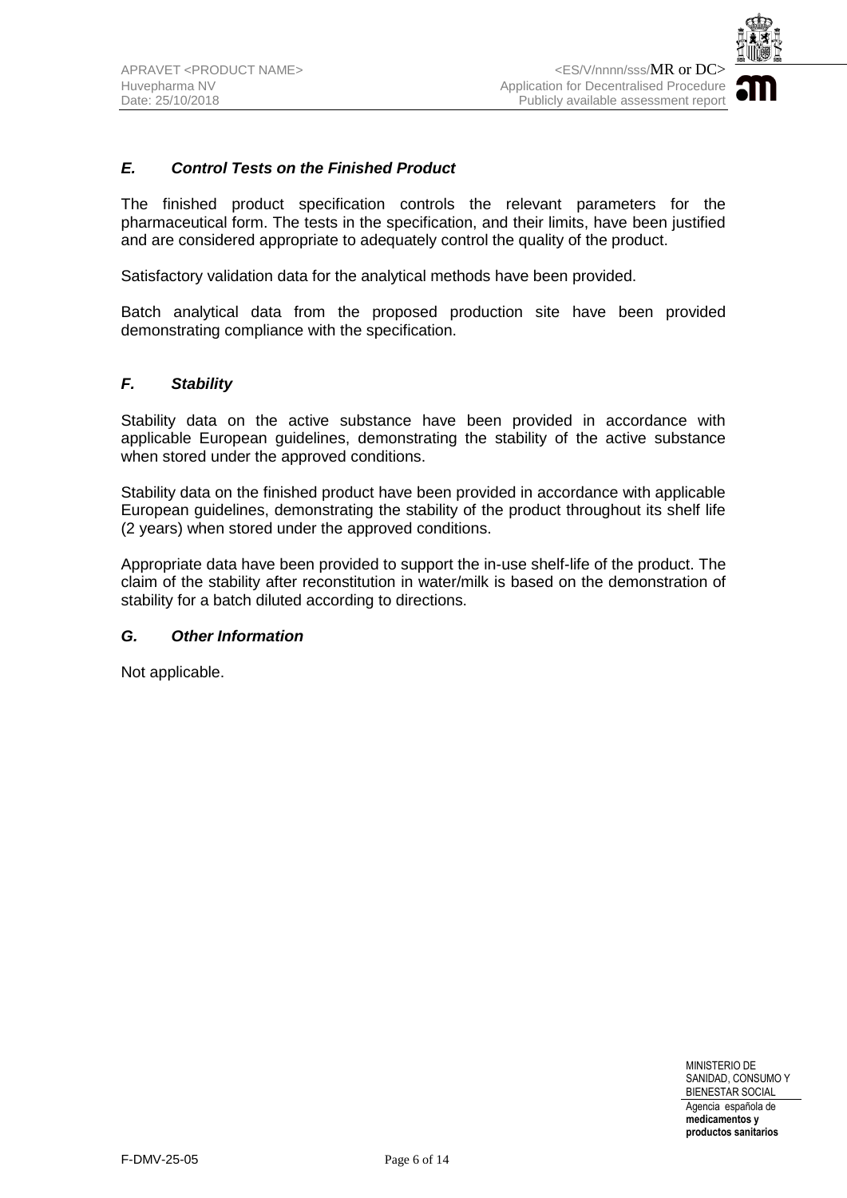

#### *E. Control Tests on the Finished Product*

The finished product specification controls the relevant parameters for the pharmaceutical form. The tests in the specification, and their limits, have been justified and are considered appropriate to adequately control the quality of the product.

Satisfactory validation data for the analytical methods have been provided.

Batch analytical data from the proposed production site have been provided demonstrating compliance with the specification.

#### *F. Stability*

Stability data on the active substance have been provided in accordance with applicable European guidelines, demonstrating the stability of the active substance when stored under the approved conditions.

Stability data on the finished product have been provided in accordance with applicable European guidelines, demonstrating the stability of the product throughout its shelf life (2 years) when stored under the approved conditions.

Appropriate data have been provided to support the in-use shelf-life of the product. The claim of the stability after reconstitution in water/milk is based on the demonstration of stability for a batch diluted according to directions.

#### *G. Other Information*

Not applicable.

MINISTERIO DE SANIDAD, CONSUMO Y BIENESTAR SOCIAL Agencia española de **medicamentos y**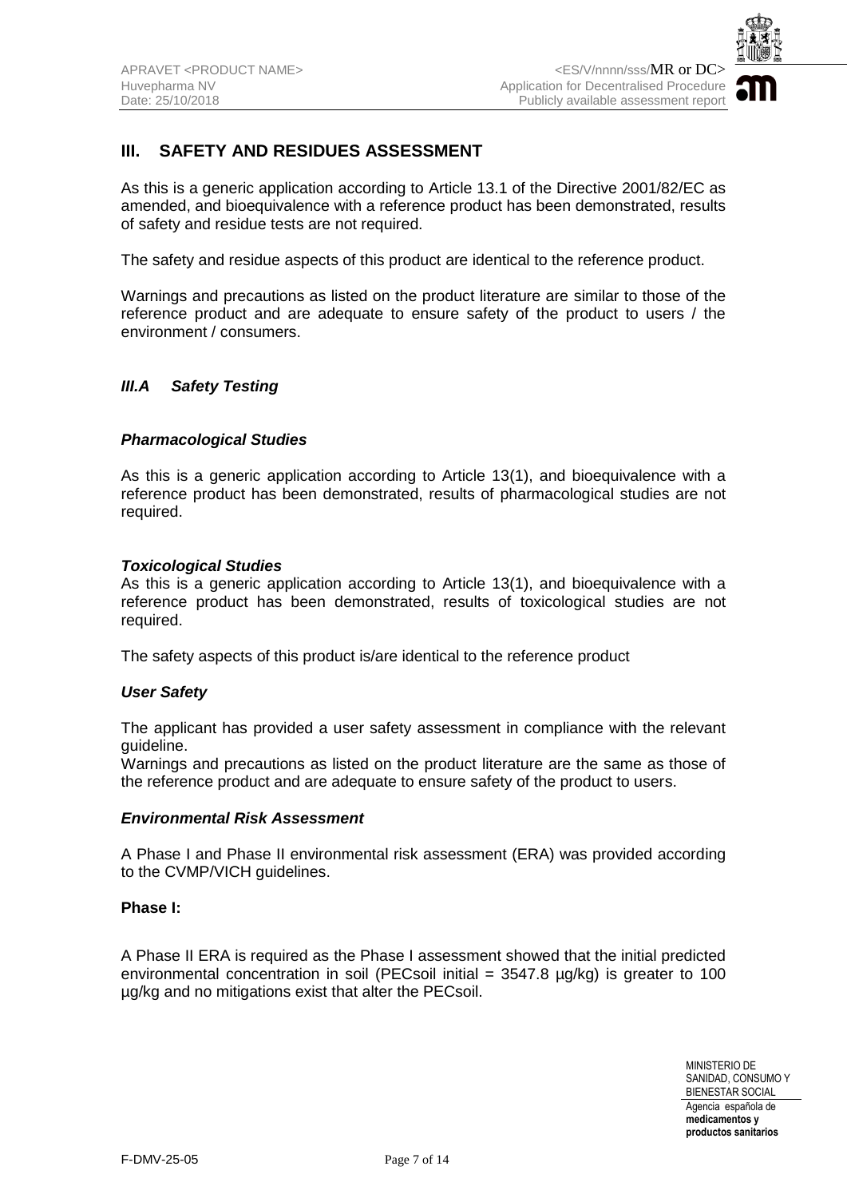

## **III.** SAFETY AND RESIDUES ASSESSMENT

As this is a generic application according to Article 13.1 of the Directive 2001/82/EC as amended, and bioequivalence with a reference product has been demonstrated, results of safety and residue tests are not required.

The safety and residue aspects of this product are identical to the reference product.

Warnings and precautions as listed on the product literature are similar to those of the reference product and are adequate to ensure safety of the product to users / the environment / consumers.

#### *III.A Safety Testing*

#### *Pharmacological Studies*

As this is a generic application according to Article 13(1), and bioequivalence with a reference product has been demonstrated, results of pharmacological studies are not required.

#### *Toxicological Studies*

As this is a generic application according to Article 13(1), and bioequivalence with a reference product has been demonstrated, results of toxicological studies are not required.

The safety aspects of this product is/are identical to the reference product

#### *User Safety*

The applicant has provided a user safety assessment in compliance with the relevant guideline.

Warnings and precautions as listed on the product literature are the same as those of the reference product and are adequate to ensure safety of the product to users.

#### *Environmental Risk Assessment*

A Phase I and Phase II environmental risk assessment (ERA) was provided according to the CVMP/VICH guidelines.

#### **Phase I:**

A Phase II ERA is required as the Phase I assessment showed that the initial predicted environmental concentration in soil (PECsoil initial  $=$  3547.8  $\mu q/kq$ ) is greater to 100 µg/kg and no mitigations exist that alter the PECsoil.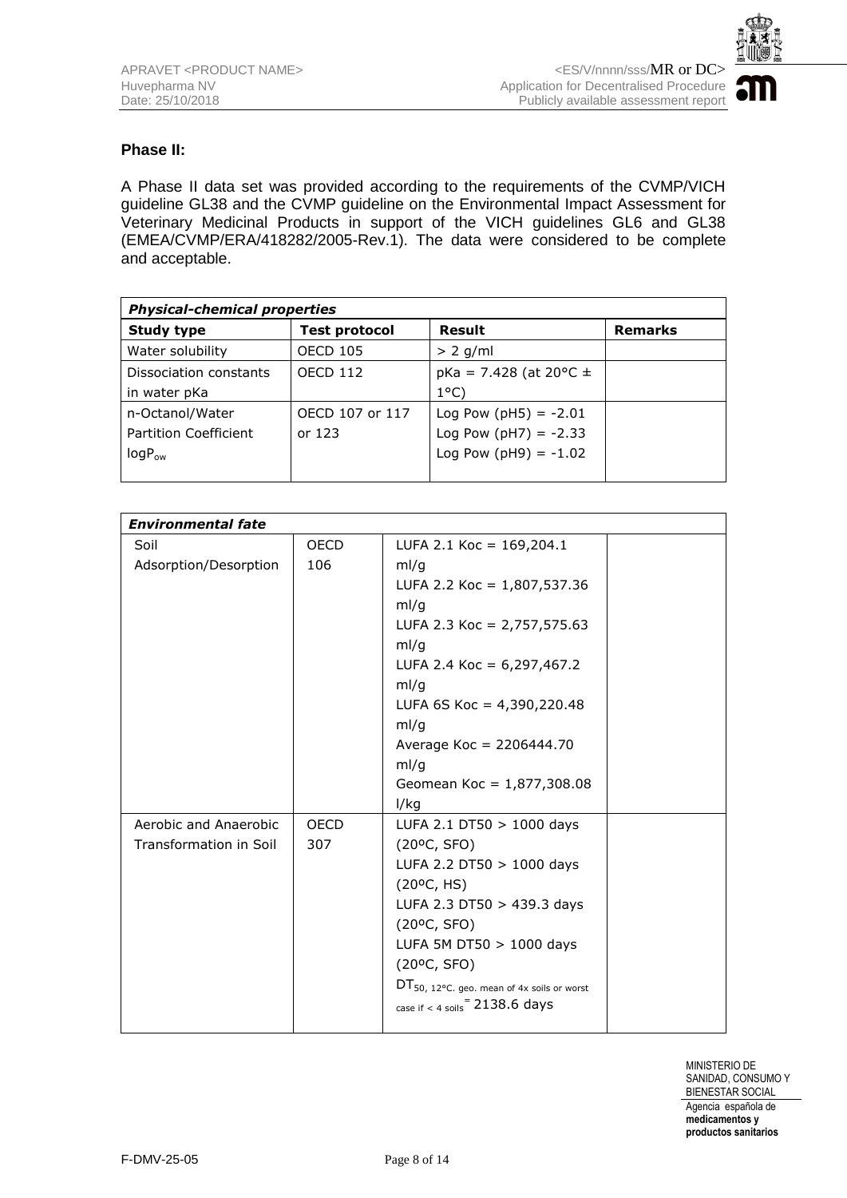

#### **Phase II:**

A Phase II data set was provided according to the requirements of the CVMP/VICH guideline GL38 and the CVMP guideline on the Environmental Impact Assessment for Veterinary Medicinal Products in support of the VICH guidelines GL6 and GL38 (EMEA/CVMP/ERA/418282/2005-Rev.1). The data were considered to be complete and acceptable.

| <b>Physical-chemical properties</b> |                      |                               |                |  |  |
|-------------------------------------|----------------------|-------------------------------|----------------|--|--|
| <b>Study type</b>                   | <b>Test protocol</b> | Result                        | <b>Remarks</b> |  |  |
| Water solubility                    | <b>OECD 105</b>      | $> 2$ g/ml                    |                |  |  |
| Dissociation constants              | <b>OECD 112</b>      | $pKa = 7.428$ (at 20 °C $\pm$ |                |  |  |
| in water pKa                        |                      | $1^{\circ}$ C)                |                |  |  |
| n-Octanol/Water                     | OECD 107 or 117      | Log Pow ( $pH5$ ) = -2.01     |                |  |  |
| <b>Partition Coefficient</b>        | or $123$             | Log Pow ( $pH7$ ) = -2.33     |                |  |  |
| $logP_{ow}$                         |                      | Log Pow ( $pH9$ ) = -1.02     |                |  |  |
|                                     |                      |                               |                |  |  |

| <b>Environmental fate</b> |             |                                                        |  |  |
|---------------------------|-------------|--------------------------------------------------------|--|--|
| Soil                      | <b>OECD</b> | LUFA 2.1 Koc = $169,204.1$                             |  |  |
| Adsorption/Desorption     | 106         | ml/q                                                   |  |  |
|                           |             | LUFA 2.2 Koc = $1,807,537.36$                          |  |  |
|                           |             | ml/g                                                   |  |  |
|                           |             | LUFA 2.3 Koc = 2,757,575.63                            |  |  |
|                           |             | ml/g                                                   |  |  |
|                           |             | LUFA 2.4 Koc = $6,297,467.2$                           |  |  |
|                           |             | ml/g                                                   |  |  |
|                           |             | LUFA 6S Koc = $4,390,220.48$                           |  |  |
|                           |             | ml/g                                                   |  |  |
|                           |             | Average Koc = 2206444.70                               |  |  |
|                           |             | ml/g                                                   |  |  |
|                           |             | Geomean Koc = $1,877,308.08$                           |  |  |
|                           |             | l/kg                                                   |  |  |
| Aerobic and Anaerobic     | <b>OECD</b> | LUFA 2.1 DT50 $> 1000$ days                            |  |  |
| Transformation in Soil    | 307         | (20°C, SFO)                                            |  |  |
|                           |             | LUFA 2.2 DT50 > 1000 days                              |  |  |
|                           |             | (20°C, HS)                                             |  |  |
|                           |             | LUFA 2.3 DT50 > 439.3 days                             |  |  |
|                           |             | (20°C, SFO)                                            |  |  |
|                           |             | LUFA 5M DT50 > 1000 days                               |  |  |
|                           |             | (20°C, SFO)                                            |  |  |
|                           |             | $DT_{50, 12^{\circ}C.}$ geo. mean of 4x soils or worst |  |  |
|                           |             | case if $<$ 4 soils $=$ 2138.6 days                    |  |  |
|                           |             |                                                        |  |  |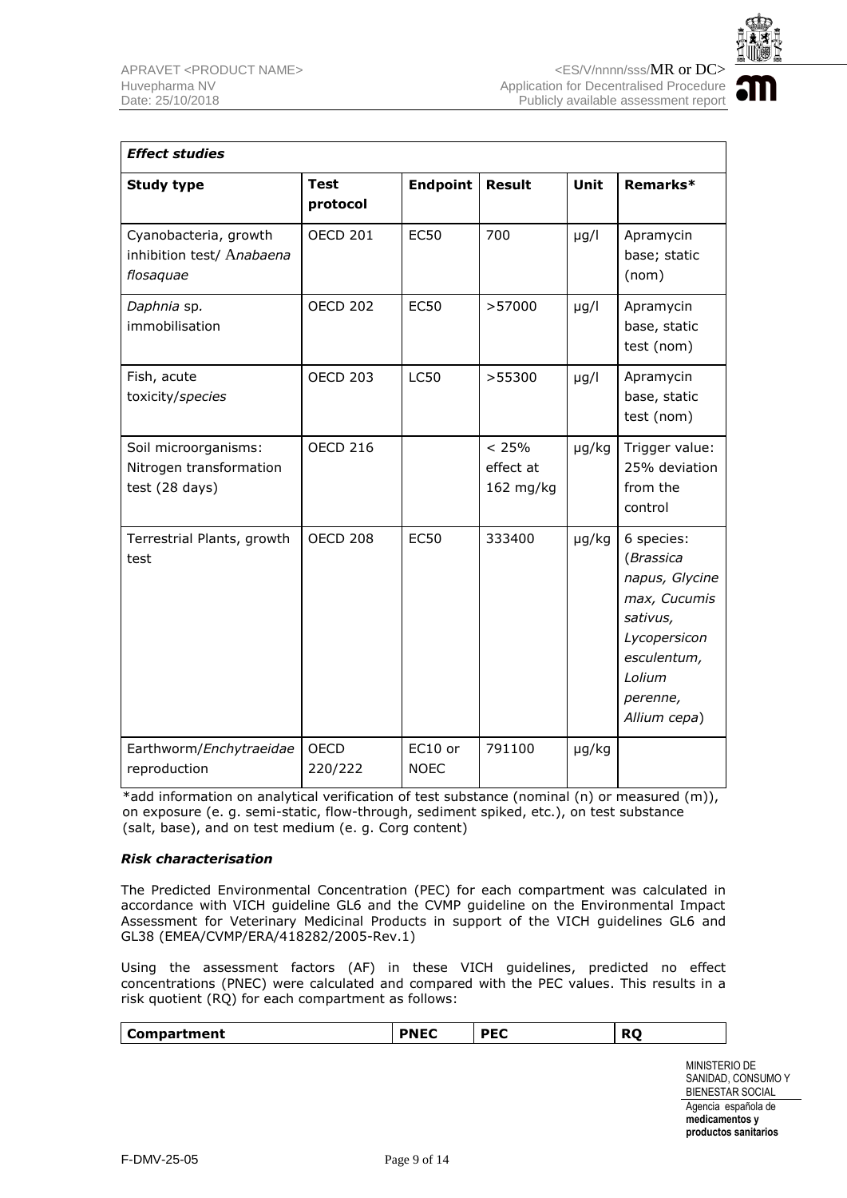

| <b>Effect studies</b>                                             |                         |                        |                                 |             |                                                                                                                                            |
|-------------------------------------------------------------------|-------------------------|------------------------|---------------------------------|-------------|--------------------------------------------------------------------------------------------------------------------------------------------|
| <b>Study type</b>                                                 | <b>Test</b><br>protocol | <b>Endpoint</b>        | <b>Result</b>                   | <b>Unit</b> | Remarks*                                                                                                                                   |
| Cyanobacteria, growth<br>inhibition test/ Anabaena<br>flosaquae   | <b>OECD 201</b>         | <b>EC50</b>            | 700                             | $\mu$ g/l   | Apramycin<br>base; static<br>(nom)                                                                                                         |
| Daphnia sp.<br>immobilisation                                     | <b>OECD 202</b>         | <b>EC50</b>            | >57000                          | $\mu$ g/l   | Apramycin<br>base, static<br>test (nom)                                                                                                    |
| Fish, acute<br>toxicity/species                                   | <b>OECD 203</b>         | <b>LC50</b>            | >55300                          | $\mu$ g/l   | Apramycin<br>base, static<br>test (nom)                                                                                                    |
| Soil microorganisms:<br>Nitrogen transformation<br>test (28 days) | <b>OECD 216</b>         |                        | < 25%<br>effect at<br>162 mg/kg | µg/kg       | Trigger value:<br>25% deviation<br>from the<br>control                                                                                     |
| Terrestrial Plants, growth<br>test                                | <b>OECD 208</b>         | <b>EC50</b>            | 333400                          | µg/kg       | 6 species:<br>(Brassica<br>napus, Glycine<br>max, Cucumis<br>sativus,<br>Lycopersicon<br>esculentum,<br>Lolium<br>perenne,<br>Allium cepa) |
| Earthworm/Enchytraeidae<br>reproduction                           | <b>OECD</b><br>220/222  | EC10 or<br><b>NOEC</b> | 791100                          | µg/kg       |                                                                                                                                            |

\*add information on analytical verification of test substance (nominal (n) or measured (m)), on exposure (e. g. semi-static, flow-through, sediment spiked, etc.), on test substance (salt, base), and on test medium (e. g. Corg content)

#### *Risk characterisation*

The Predicted Environmental Concentration (PEC) for each compartment was calculated in accordance with VICH guideline GL6 and the CVMP guideline on the Environmental Impact Assessment for Veterinary Medicinal Products in support of the VICH guidelines GL6 and GL38 (EMEA/CVMP/ERA/418282/2005-Rev.1)

Using the assessment factors (AF) in these VICH guidelines, predicted no effect concentrations (PNEC) were calculated and compared with the PEC values. This results in a risk quotient (RQ) for each compartment as follows:

| Compartment | DNEC | occ | DC<br>אי |
|-------------|------|-----|----------|
|-------------|------|-----|----------|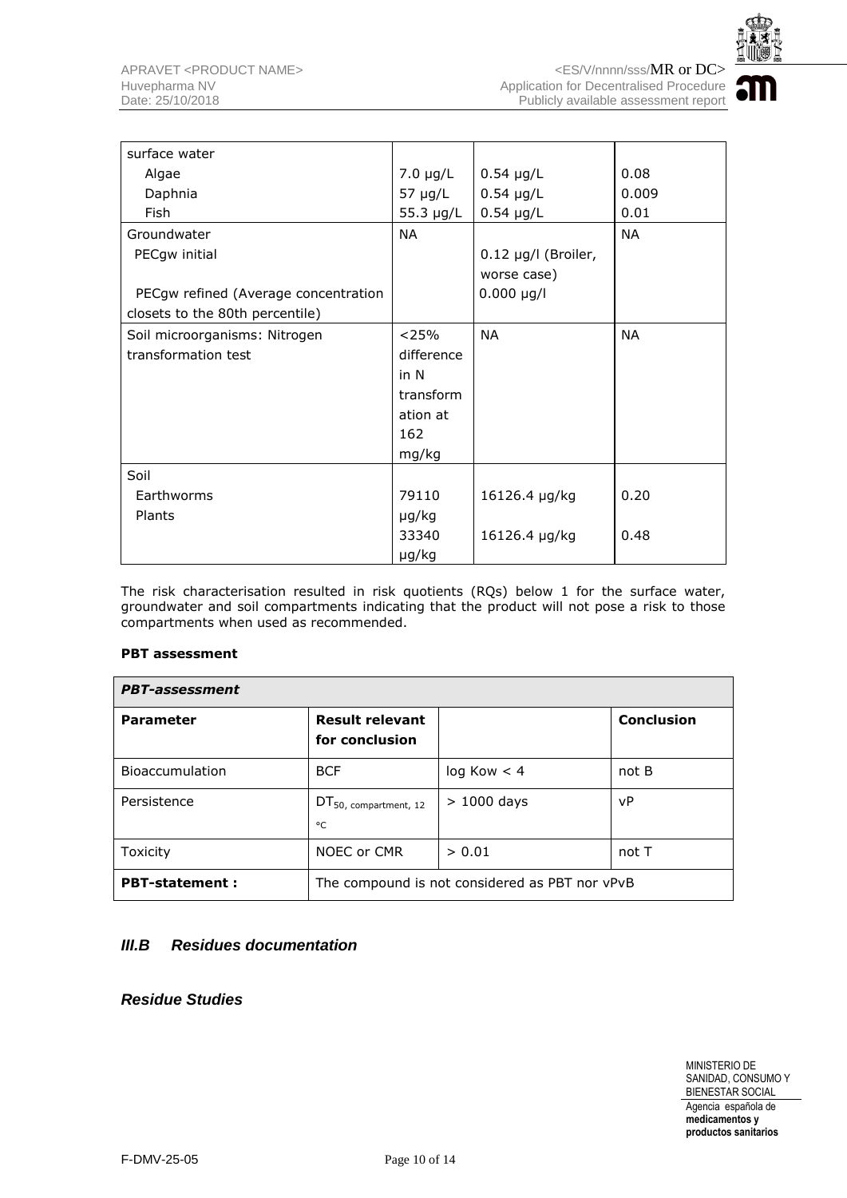

| surface water                        |               |                     |           |
|--------------------------------------|---------------|---------------------|-----------|
| Algae                                | $7.0 \mu g/L$ | $0.54 \mu g/L$      | 0.08      |
| Daphnia                              | 57 µg/L       | $0.54 \mu g/L$      | 0.009     |
| Fish                                 | 55.3 µg/L     | $0.54 \mu g/L$      | 0.01      |
| Groundwater                          | <b>NA</b>     |                     | <b>NA</b> |
| PECgw initial                        |               | 0.12 µg/l (Broiler, |           |
|                                      |               | worse case)         |           |
| PECgw refined (Average concentration |               | $0.000 \mu g/l$     |           |
| closets to the 80th percentile)      |               |                     |           |
| Soil microorganisms: Nitrogen        | < 25%         | <b>NA</b>           | <b>NA</b> |
| transformation test                  | difference    |                     |           |
|                                      | in N          |                     |           |
|                                      | transform     |                     |           |
|                                      | ation at      |                     |           |
|                                      | 162           |                     |           |
|                                      | mg/kg         |                     |           |
| Soil                                 |               |                     |           |
| Earthworms                           | 79110         | 16126.4 µg/kg       | 0.20      |
| Plants                               | µg/kg         |                     |           |
|                                      | 33340         | 16126.4 µg/kg       | 0.48      |
|                                      | µg/kg         |                     |           |

The risk characterisation resulted in risk quotients (RQs) below 1 for the surface water, groundwater and soil compartments indicating that the product will not pose a risk to those compartments when used as recommended.

#### **PBT assessment**

| <b>PBT-assessment</b>  |                                                |              |                   |  |  |
|------------------------|------------------------------------------------|--------------|-------------------|--|--|
| <b>Parameter</b>       | <b>Result relevant</b><br>for conclusion       |              | <b>Conclusion</b> |  |  |
| <b>Bioaccumulation</b> | <b>BCF</b>                                     | log Kow < 4  | not B             |  |  |
| Persistence            | DT <sub>50</sub> , compartment, 12<br>°C       | $>1000$ days | vP                |  |  |
| <b>Toxicity</b>        | NOEC or CMR                                    | > 0.01       | not T             |  |  |
| <b>PBT-statement:</b>  | The compound is not considered as PBT nor vPvB |              |                   |  |  |

#### *III.B Residues documentation*

#### *Residue Studies*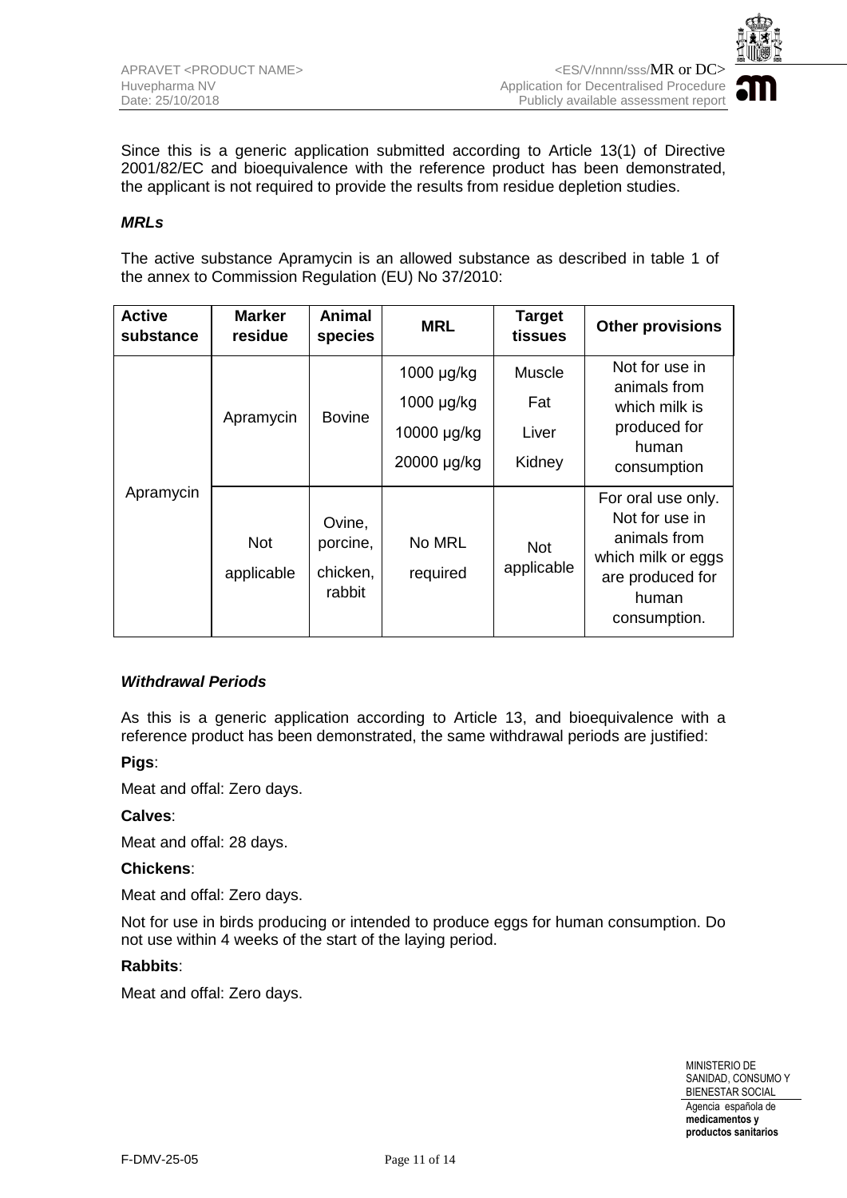

Since this is a generic application submitted according to Article 13(1) of Directive 2001/82/EC and bioequivalence with the reference product has been demonstrated, the applicant is not required to provide the results from residue depletion studies.

#### *MRLs*

The active substance Apramycin is an allowed substance as described in table 1 of the annex to Commission Regulation (EU) No 37/2010:

| <b>Active</b><br>substance | <b>Marker</b><br>residue | Animal<br>species                        | <b>MRL</b>                                             | <b>Target</b><br>tissues         | <b>Other provisions</b>                                                                                                 |
|----------------------------|--------------------------|------------------------------------------|--------------------------------------------------------|----------------------------------|-------------------------------------------------------------------------------------------------------------------------|
| Apramycin                  | Apramycin                | <b>Bovine</b>                            | 1000 µg/kg<br>1000 µg/kg<br>10000 µg/kg<br>20000 µg/kg | Muscle<br>Fat<br>Liver<br>Kidney | Not for use in<br>animals from<br>which milk is<br>produced for<br>human<br>consumption                                 |
|                            | <b>Not</b><br>applicable | Ovine,<br>porcine,<br>chicken,<br>rabbit | No MRL<br>required                                     | <b>Not</b><br>applicable         | For oral use only.<br>Not for use in<br>animals from<br>which milk or eggs<br>are produced for<br>human<br>consumption. |

#### *Withdrawal Periods*

As this is a generic application according to Article 13, and bioequivalence with a reference product has been demonstrated, the same withdrawal periods are justified:

#### **Pigs**:

Meat and offal: Zero days.

#### **Calves**:

Meat and offal: 28 days.

#### **Chickens**:

Meat and offal: Zero days.

Not for use in birds producing or intended to produce eggs for human consumption. Do not use within 4 weeks of the start of the laying period.

#### **Rabbits**:

Meat and offal: Zero days.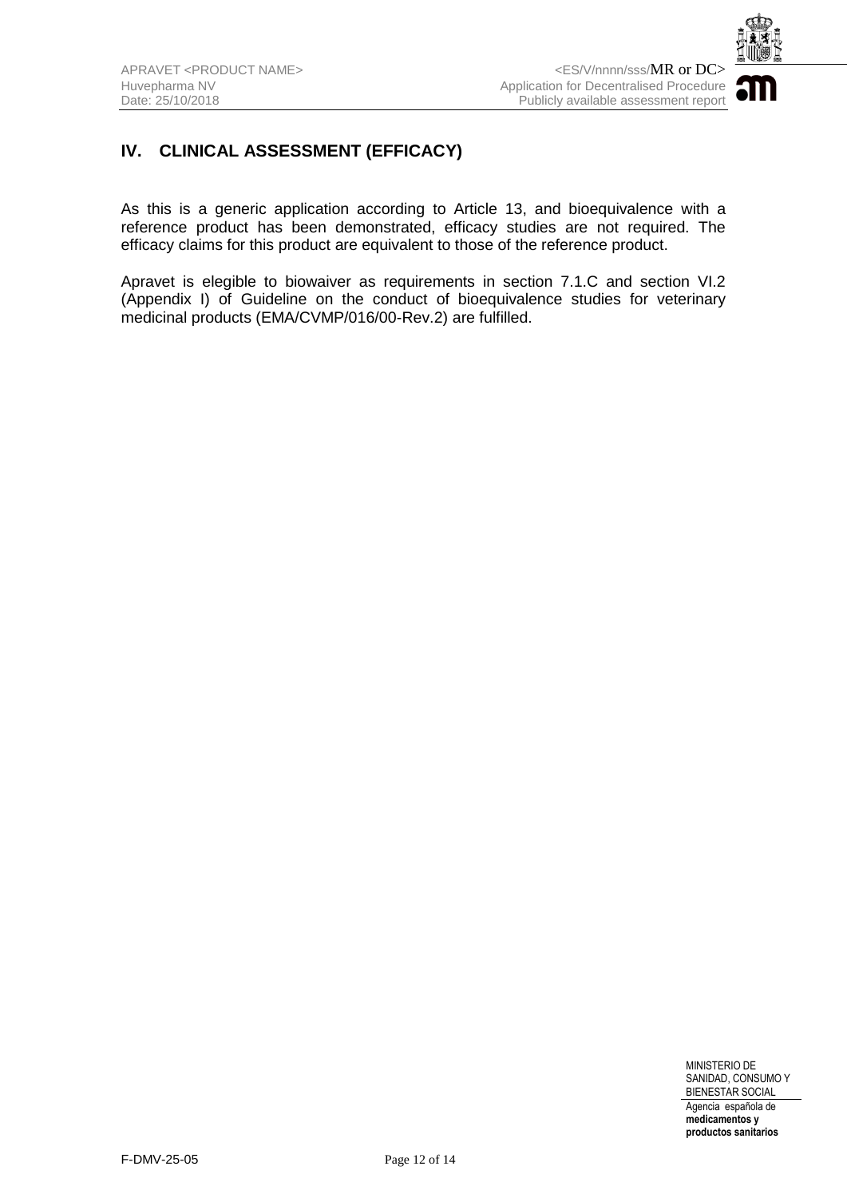

## **IV. CLINICAL ASSESSMENT (EFFICACY)**

As this is a generic application according to Article 13, and bioequivalence with a reference product has been demonstrated, efficacy studies are not required. The efficacy claims for this product are equivalent to those of the reference product.

Apravet is elegible to biowaiver as requirements in section 7.1.C and section VI.2 (Appendix I) of Guideline on the conduct of bioequivalence studies for veterinary medicinal products (EMA/CVMP/016/00-Rev.2) are fulfilled.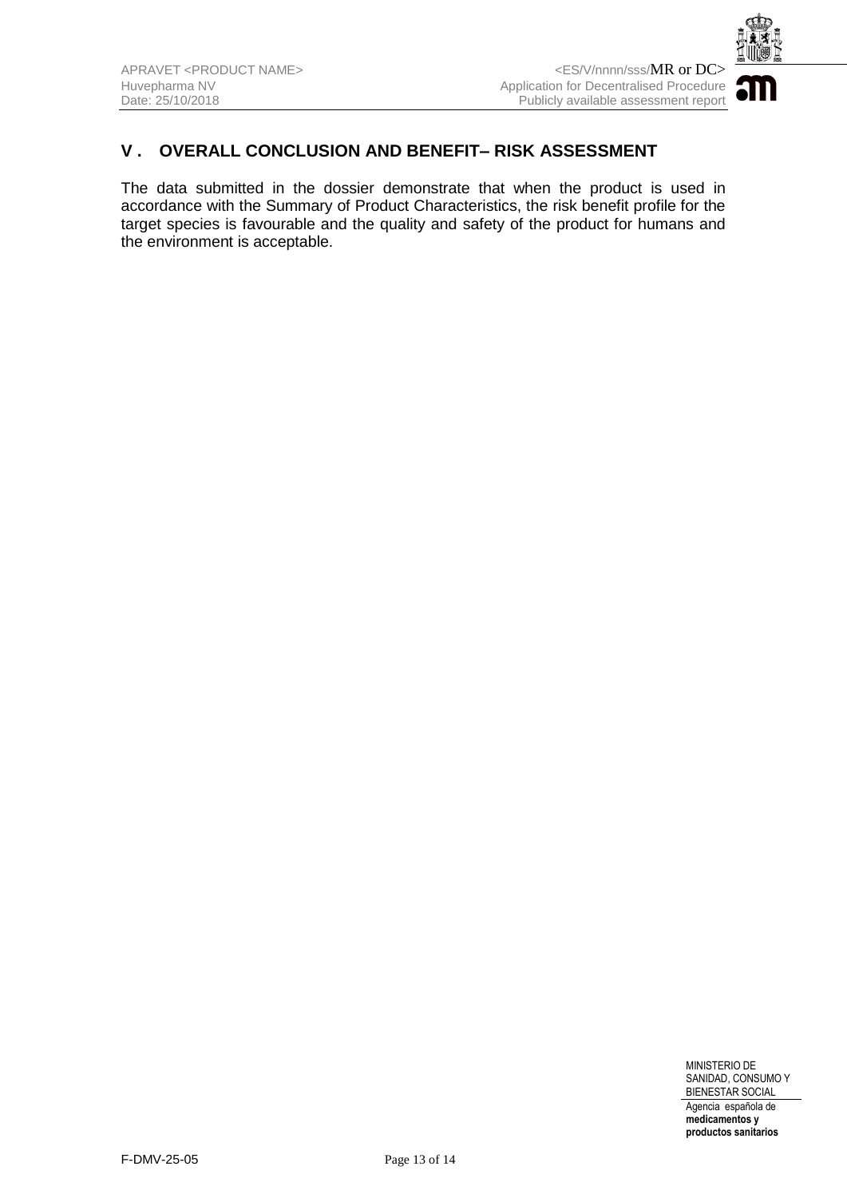

## **V . OVERALL CONCLUSION AND BENEFIT– RISK ASSESSMENT**

The data submitted in the dossier demonstrate that when the product is used in accordance with the Summary of Product Characteristics, the risk benefit profile for the target species is favourable and the quality and safety of the product for humans and the environment is acceptable.

> MINISTERIO DE SANIDAD, CONSUMO Y BIENESTAR SOCIAL Agencia española de **medicamentos y**